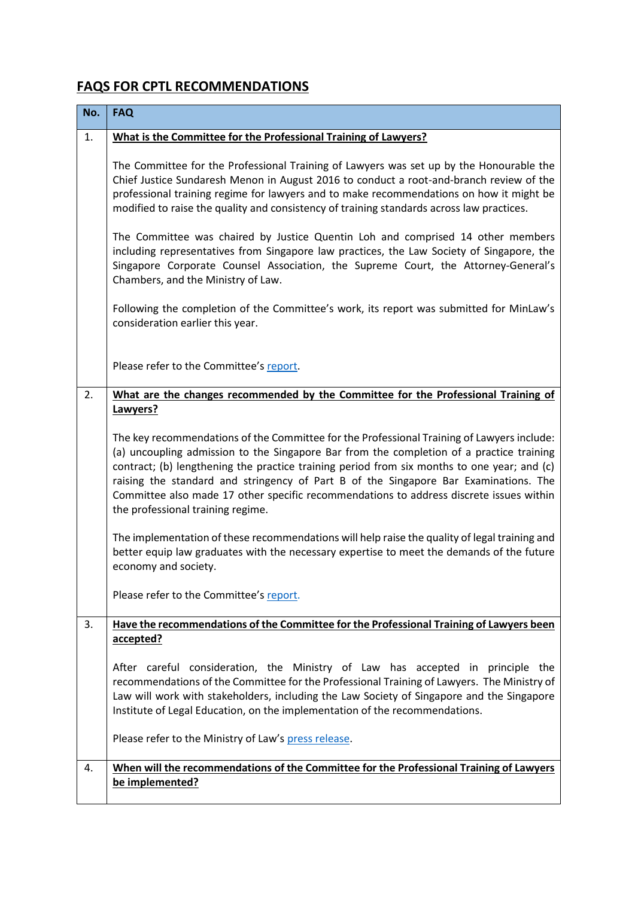## **FAQS FOR CPTL RECOMMENDATIONS**

| No. | <b>FAQ</b>                                                                                                                                                                                                                                                                                                                                                                                                                                                                                                    |
|-----|---------------------------------------------------------------------------------------------------------------------------------------------------------------------------------------------------------------------------------------------------------------------------------------------------------------------------------------------------------------------------------------------------------------------------------------------------------------------------------------------------------------|
| 1.  | What is the Committee for the Professional Training of Lawyers?                                                                                                                                                                                                                                                                                                                                                                                                                                               |
|     | The Committee for the Professional Training of Lawyers was set up by the Honourable the<br>Chief Justice Sundaresh Menon in August 2016 to conduct a root-and-branch review of the<br>professional training regime for lawyers and to make recommendations on how it might be<br>modified to raise the quality and consistency of training standards across law practices.                                                                                                                                    |
|     | The Committee was chaired by Justice Quentin Loh and comprised 14 other members<br>including representatives from Singapore law practices, the Law Society of Singapore, the<br>Singapore Corporate Counsel Association, the Supreme Court, the Attorney-General's<br>Chambers, and the Ministry of Law.                                                                                                                                                                                                      |
|     | Following the completion of the Committee's work, its report was submitted for MinLaw's<br>consideration earlier this year.                                                                                                                                                                                                                                                                                                                                                                                   |
|     | Please refer to the Committee's report.                                                                                                                                                                                                                                                                                                                                                                                                                                                                       |
| 2.  | What are the changes recommended by the Committee for the Professional Training of                                                                                                                                                                                                                                                                                                                                                                                                                            |
|     | Lawyers?                                                                                                                                                                                                                                                                                                                                                                                                                                                                                                      |
|     | The key recommendations of the Committee for the Professional Training of Lawyers include:<br>(a) uncoupling admission to the Singapore Bar from the completion of a practice training<br>contract; (b) lengthening the practice training period from six months to one year; and (c)<br>raising the standard and stringency of Part B of the Singapore Bar Examinations. The<br>Committee also made 17 other specific recommendations to address discrete issues within<br>the professional training regime. |
|     | The implementation of these recommendations will help raise the quality of legal training and<br>better equip law graduates with the necessary expertise to meet the demands of the future<br>economy and society.                                                                                                                                                                                                                                                                                            |
|     | Please refer to the Committee's report.                                                                                                                                                                                                                                                                                                                                                                                                                                                                       |
| 3.  | Have the recommendations of the Committee for the Professional Training of Lawyers been                                                                                                                                                                                                                                                                                                                                                                                                                       |
|     | accepted?                                                                                                                                                                                                                                                                                                                                                                                                                                                                                                     |
|     | After careful consideration, the Ministry of Law has accepted in principle the<br>recommendations of the Committee for the Professional Training of Lawyers. The Ministry of<br>Law will work with stakeholders, including the Law Society of Singapore and the Singapore<br>Institute of Legal Education, on the implementation of the recommendations.<br>Please refer to the Ministry of Law's press release.                                                                                              |
|     |                                                                                                                                                                                                                                                                                                                                                                                                                                                                                                               |
| 4.  | When will the recommendations of the Committee for the Professional Training of Lawyers<br>be implemented?                                                                                                                                                                                                                                                                                                                                                                                                    |